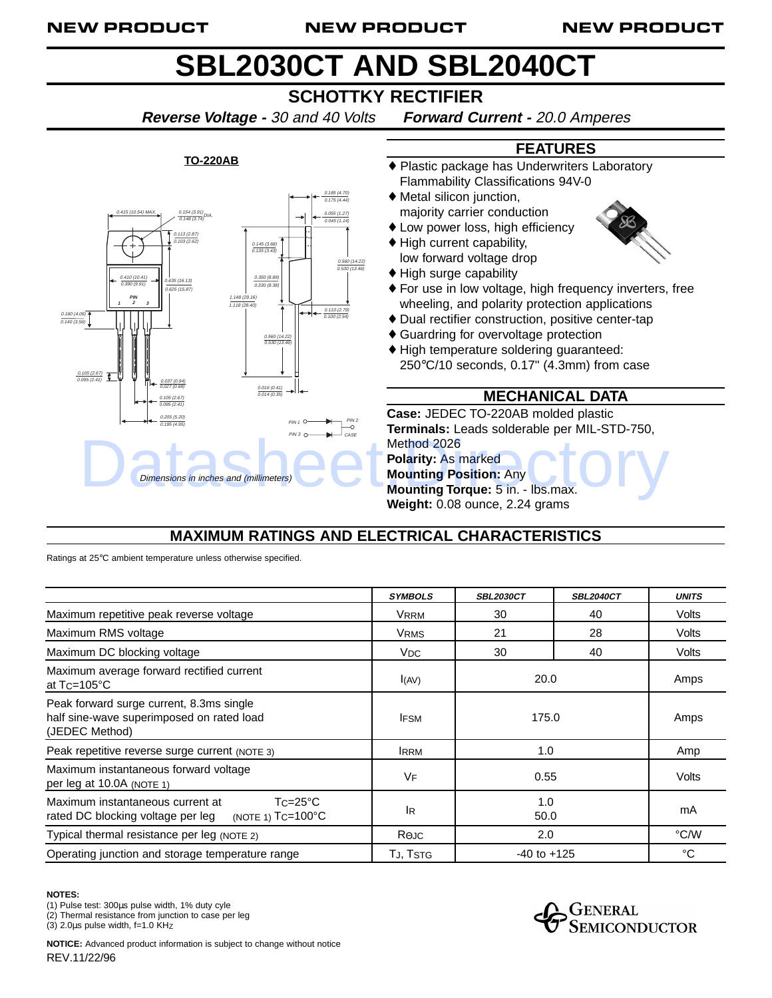#### NEW PRODUCT NEW PRODUCT NEW PRODUCT

# **SBL2030CT AND SBL2040CT**

## **SCHOTTKY RECTIFIER**

**Reverse Voltage -** 30 and 40 Volts **Forward Current -** 20.0 Amperes

#### $\begin{array}{c} 0.415 (10.54) \text{ MAX.} \\ \hline 0.148 (3.74) \end{array}$ DIA. 0.113 (2.87) 0.103 (2.62) 0.185 (4.70) 0.175 (4.44) 0.055 (1.27) 0.045 (1.14) 0.145 (3.68) 0.135 (3.43) 0.350 (8.89) 0.330 (8.38) 0.160 (4.0 0.140 (3.56) 0.037 (0.94) 0.027 (0.68) 0.205 (5.20) 0.195 (4.95) 0.560 (14.22) 0.530 (13.46) 0.016 (0.41) 0.014 (0.35) 0.110 (2.79) 0.100 (2.54) **PIN 1 2 3** PIN 1  $PIN3$   $\bigcirc$   $\longrightarrow$   $\bigcirc$   $\bigcirc$   $\bigcirc$   $\bigcirc$   $\bigcirc$   $\bigcirc$   $\bigcirc$   $\bigcirc$   $\bigcirc$   $\bigcirc$   $\bigcirc$   $\bigcirc$   $\bigcirc$   $\bigcirc$   $\bigcirc$   $\bigcirc$   $\bigcirc$   $\bigcirc$   $\bigcirc$   $\bigcirc$   $\bigcirc$   $\bigcirc$   $\bigcirc$   $\bigcirc$   $\bigcirc$   $\bigcirc$   $\bigcirc$   $\bigcirc$   $\bigcirc$   $\bigcirc$   $\bigcirc$   $\bigcirc$   $\bigcirc$   $\bigcirc$  1.148 (29.16) 1.118 (28.40) 0.105 (2.67) 0.095 (2.41) 0.410 (10.41) 0.390 (9.91) 0.105 (2.67) 0.095 (2.41) .<br>.635 (16.13) 0.625 (15.87) 0.560 (14.22) 0.530 (13.46) PIN 2 Dimensions in inches and (millimeters)

**TO-220AB**

#### **FEATURES**

- ♦ Plastic package has Underwriters Laboratory Flammability Classifications 94V-0
- ♦ Metal silicon junction, majority carrier conduction
- ♦ Low power loss, high efficiency
- ♦ High current capability, low forward voltage drop



- ♦ For use in low voltage, high frequency inverters, free wheeling, and polarity protection applications
- ♦ Dual rectifier construction, positive center-tap
- ♦ Guardring for overvoltage protection
- ♦ High temperature soldering guaranteed: 250°C/10 seconds, 0.17" (4.3mm) from case

### **MECHANICAL DATA**

**Case:** JEDEC TO-220AB molded plastic **Terminals:** Leads solderable per MIL-STD-750, Method 2026 **Polarity:** As marked **Mounting Position:** Any **Mounting Torque:** 5 in. - lbs.max.

## **MAXIMUM RATINGS AND ELECTRICAL CHARACTERISTICS**

| $-c$ <sub>CASE</sub><br>Method 2026<br><b>Polarity: As marked</b><br><b>Mounting Position: Any</b><br>Dimensions in inches and (millimeters)<br>Mounting Torque: 5 in. - Ibs.max.<br>Weight: 0.08 ounce, 2.24 grams                             |                       |                  |                          |              |
|-------------------------------------------------------------------------------------------------------------------------------------------------------------------------------------------------------------------------------------------------|-----------------------|------------------|--------------------------|--------------|
| <b>MAXIMUM RATINGS AND ELECTRICAL CHARACTERISTICS</b>                                                                                                                                                                                           |                       |                  |                          |              |
| Ratings at 25°C ambient temperature unless otherwise specified.                                                                                                                                                                                 |                       |                  |                          |              |
|                                                                                                                                                                                                                                                 | <b>SYMBOLS</b>        | <b>SBL2030CT</b> | <b>SBL2040CT</b>         | <b>UNITS</b> |
| Maximum repetitive peak reverse voltage                                                                                                                                                                                                         | <b>VRRM</b>           | 30               | 40                       | Volts        |
| Maximum RMS voltage                                                                                                                                                                                                                             | <b>VRMS</b>           | 21               | 28                       | Volts        |
| Maximum DC blocking voltage                                                                                                                                                                                                                     | <b>V<sub>DC</sub></b> | 30               | 40                       | Volts        |
| Maximum average forward rectified current<br>at Tc=105°C                                                                                                                                                                                        | I(AV)                 | 20.0             |                          | Amps         |
| Peak forward surge current, 8.3ms single<br>half sine-wave superimposed on rated load<br>(JEDEC Method)                                                                                                                                         | <b>IFSM</b>           | 175.0            |                          | Amps         |
| Peak repetitive reverse surge current (NOTE 3)                                                                                                                                                                                                  | <b>IRRM</b>           | 1.0              |                          | Amp          |
| Maximum instantaneous forward voltage<br>per leg at 10.0A (NOTE 1)                                                                                                                                                                              | VF                    | 0.55             |                          | Volts        |
| $Tc=25^{\circ}C$<br>Maximum instantaneous current at<br>rated DC blocking voltage per leg<br>(NOTE 1) TC=100°C                                                                                                                                  | <b>IR</b>             | 1.0<br>50.0      |                          | mA           |
| Typical thermal resistance per leg (NOTE 2)                                                                                                                                                                                                     | $R$ $\Theta$ JC       | 2.0              |                          | °C/W         |
| Operating junction and storage temperature range                                                                                                                                                                                                | TJ, TSTG              | $-40$ to $+125$  |                          | $^{\circ}C$  |
| <b>NOTES:</b><br>(1) Pulse test: 300µs pulse width, 1% duty cyle<br>(2) Thermal resistance from junction to case per leg<br>(3) 2.0us pulse width, f=1.0 KHz<br><b>NOTICE:</b> Advanced product information is subject to change without notice |                       |                  | GENERAL<br>SEMICONDUCTOR |              |
| REV.11/22/96                                                                                                                                                                                                                                    |                       |                  |                          |              |

#### **NOTES:**